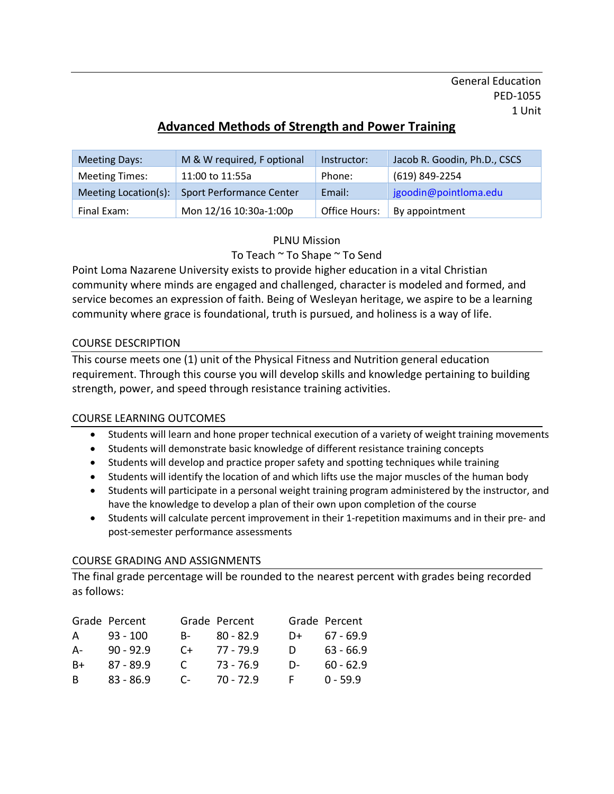General Education PED-1055 1 Unit

# **Advanced Methods of Strength and Power Training**

| <b>Meeting Days:</b>  | M & W required, F optional      | Instructor:   | Jacob R. Goodin, Ph.D., CSCS |
|-----------------------|---------------------------------|---------------|------------------------------|
| <b>Meeting Times:</b> | 11:00 to 11:55a                 | Phone:        | (619) 849-2254               |
| Meeting Location(s):  | <b>Sport Performance Center</b> | Email:        | jgoodin@pointloma.edu        |
| Final Exam:           | Mon 12/16 10:30a-1:00p          | Office Hours: | By appointment               |

#### PLNU Mission

### To Teach ~ To Shape ~ To Send

Point Loma Nazarene University exists to provide higher education in a vital Christian community where minds are engaged and challenged, character is modeled and formed, and service becomes an expression of faith. Being of Wesleyan heritage, we aspire to be a learning community where grace is foundational, truth is pursued, and holiness is a way of life.

#### COURSE DESCRIPTION

This course meets one (1) unit of the Physical Fitness and Nutrition general education requirement. Through this course you will develop skills and knowledge pertaining to building strength, power, and speed through resistance training activities.

#### COURSE LEARNING OUTCOMES

- Students will learn and hone proper technical execution of a variety of weight training movements
- Students will demonstrate basic knowledge of different resistance training concepts
- Students will develop and practice proper safety and spotting techniques while training
- Students will identify the location of and which lifts use the major muscles of the human body
- Students will participate in a personal weight training program administered by the instructor, and have the knowledge to develop a plan of their own upon completion of the course
- Students will calculate percent improvement in their 1-repetition maximums and in their pre- and post-semester performance assessments

#### COURSE GRADING AND ASSIGNMENTS

The final grade percentage will be rounded to the nearest percent with grades being recorded as follows:

|      | Grade Percent |            | Grade Percent |    | Grade Percent |
|------|---------------|------------|---------------|----|---------------|
| A    | $93 - 100$    | <b>B</b> - | $80 - 82.9$   | D+ | 67 - 69.9     |
| A-   | $90 - 92.9$   | $C+$       | 77 - 79.9     | D  | $63 - 66.9$   |
| $B+$ | $87 - 89.9$   | C          | 73 - 76.9     | D- | $60 - 62.9$   |
| B.   | $83 - 86.9$   | $C-$       | 70 - 72.9     | F. | $0 - 59.9$    |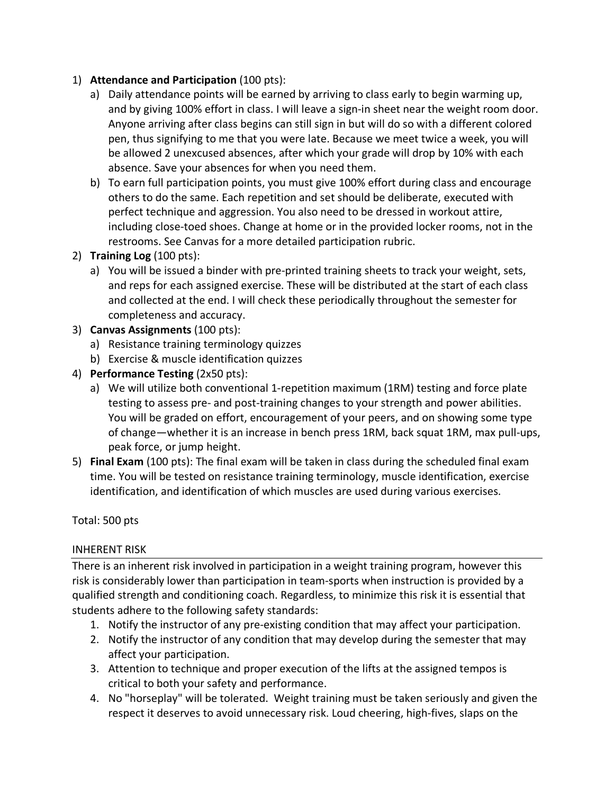### 1) **Attendance and Participation** (100 pts):

- a) Daily attendance points will be earned by arriving to class early to begin warming up, and by giving 100% effort in class. I will leave a sign-in sheet near the weight room door. Anyone arriving after class begins can still sign in but will do so with a different colored pen, thus signifying to me that you were late. Because we meet twice a week, you will be allowed 2 unexcused absences, after which your grade will drop by 10% with each absence. Save your absences for when you need them.
- b) To earn full participation points, you must give 100% effort during class and encourage others to do the same. Each repetition and set should be deliberate, executed with perfect technique and aggression. You also need to be dressed in workout attire, including close-toed shoes. Change at home or in the provided locker rooms, not in the restrooms. See Canvas for a more detailed participation rubric.
- 2) **Training Log** (100 pts):
	- a) You will be issued a binder with pre-printed training sheets to track your weight, sets, and reps for each assigned exercise. These will be distributed at the start of each class and collected at the end. I will check these periodically throughout the semester for completeness and accuracy.
- 3) **Canvas Assignments** (100 pts):
	- a) Resistance training terminology quizzes
	- b) Exercise & muscle identification quizzes
- 4) **Performance Testing** (2x50 pts):
	- a) We will utilize both conventional 1-repetition maximum (1RM) testing and force plate testing to assess pre- and post-training changes to your strength and power abilities. You will be graded on effort, encouragement of your peers, and on showing some type of change—whether it is an increase in bench press 1RM, back squat 1RM, max pull-ups, peak force, or jump height.
- 5) **Final Exam** (100 pts): The final exam will be taken in class during the scheduled final exam time. You will be tested on resistance training terminology, muscle identification, exercise identification, and identification of which muscles are used during various exercises.

Total: 500 pts

### INHERENT RISK

There is an inherent risk involved in participation in a weight training program, however this risk is considerably lower than participation in team-sports when instruction is provided by a qualified strength and conditioning coach. Regardless, to minimize this risk it is essential that students adhere to the following safety standards:

- 1. Notify the instructor of any pre-existing condition that may affect your participation.
- 2. Notify the instructor of any condition that may develop during the semester that may affect your participation.
- 3. Attention to technique and proper execution of the lifts at the assigned tempos is critical to both your safety and performance.
- 4. No "horseplay" will be tolerated. Weight training must be taken seriously and given the respect it deserves to avoid unnecessary risk. Loud cheering, high-fives, slaps on the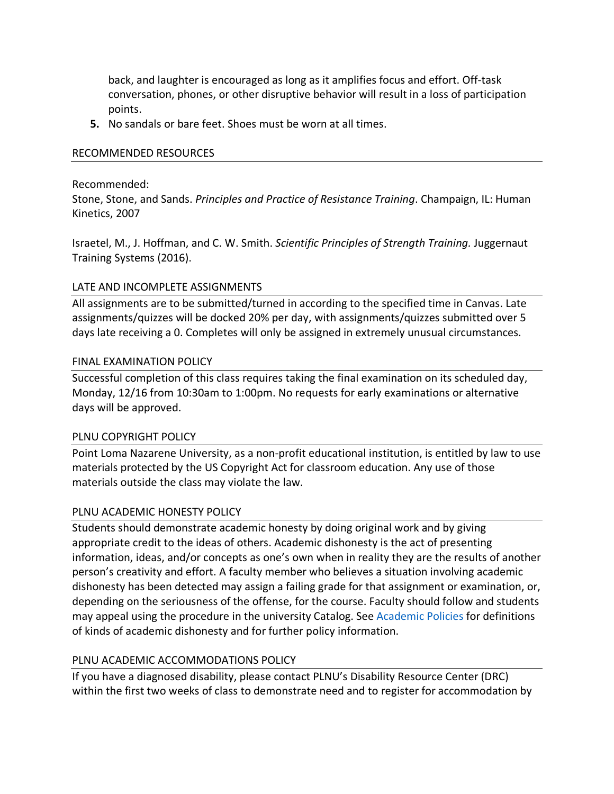back, and laughter is encouraged as long as it amplifies focus and effort. Off-task conversation, phones, or other disruptive behavior will result in a loss of participation points.

**5.** No sandals or bare feet. Shoes must be worn at all times.

#### RECOMMENDED RESOURCES

#### Recommended:

Stone, Stone, and Sands. *Principles and Practice of Resistance Training*. Champaign, IL: Human Kinetics, 2007

Israetel, M., J. Hoffman, and C. W. Smith. *Scientific Principles of Strength Training.* Juggernaut Training Systems (2016).

#### LATE AND INCOMPLETE ASSIGNMENTS

All assignments are to be submitted/turned in according to the specified time in Canvas. Late assignments/quizzes will be docked 20% per day, with assignments/quizzes submitted over 5 days late receiving a 0. Completes will only be assigned in extremely unusual circumstances.

#### FINAL EXAMINATION POLICY

Successful completion of this class requires taking the final examination on its scheduled day, Monday, 12/16 from 10:30am to 1:00pm. No requests for early examinations or alternative days will be approved.

#### PLNU COPYRIGHT POLICY

Point Loma Nazarene University, as a non-profit educational institution, is entitled by law to use materials protected by the US Copyright Act for classroom education. Any use of those materials outside the class may violate the law.

#### PLNU ACADEMIC HONESTY POLICY

Students should demonstrate academic honesty by doing original work and by giving appropriate credit to the ideas of others. Academic dishonesty is the act of presenting information, ideas, and/or concepts as one's own when in reality they are the results of another person's creativity and effort. A faculty member who believes a situation involving academic dishonesty has been detected may assign a failing grade for that assignment or examination, or, depending on the seriousness of the offense, for the course. Faculty should follow and students may appeal using the procedure in the university Catalog. See Academic Policies for definitions of kinds of academic dishonesty and for further policy information.

#### PLNU ACADEMIC ACCOMMODATIONS POLICY

If you have a diagnosed disability, please contact PLNU's Disability Resource Center (DRC) within the first two weeks of class to demonstrate need and to register for accommodation by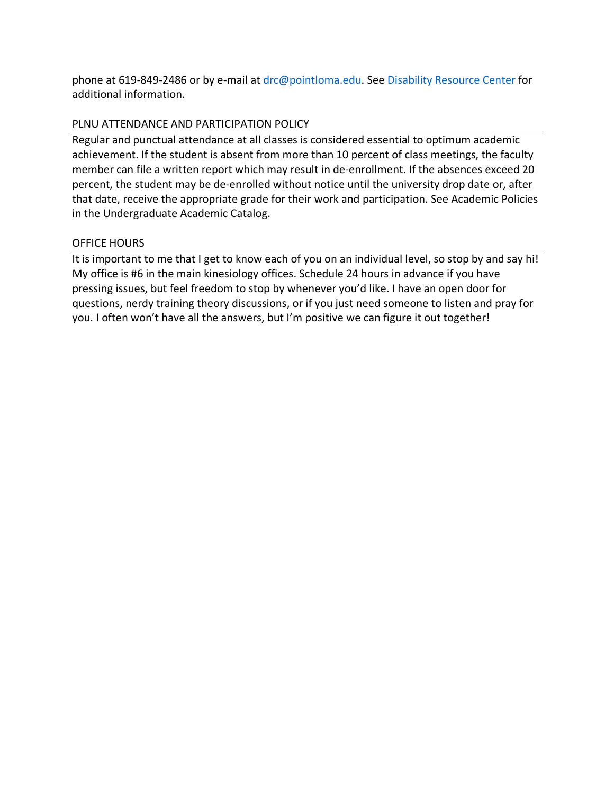phone at 619-849-2486 or by e-mail at drc@pointloma.edu. See Disability Resource Center for additional information.

## PLNU ATTENDANCE AND PARTICIPATION POLICY

Regular and punctual attendance at all classes is considered essential to optimum academic achievement. If the student is absent from more than 10 percent of class meetings, the faculty member can file a written report which may result in de-enrollment. If the absences exceed 20 percent, the student may be de-enrolled without notice until the university drop date or, after that date, receive the appropriate grade for their work and participation. See Academic Policies in the Undergraduate Academic Catalog.

## OFFICE HOURS

It is important to me that I get to know each of you on an individual level, so stop by and say hi! My office is #6 in the main kinesiology offices. Schedule 24 hours in advance if you have pressing issues, but feel freedom to stop by whenever you'd like. I have an open door for questions, nerdy training theory discussions, or if you just need someone to listen and pray for you. I often won't have all the answers, but I'm positive we can figure it out together!